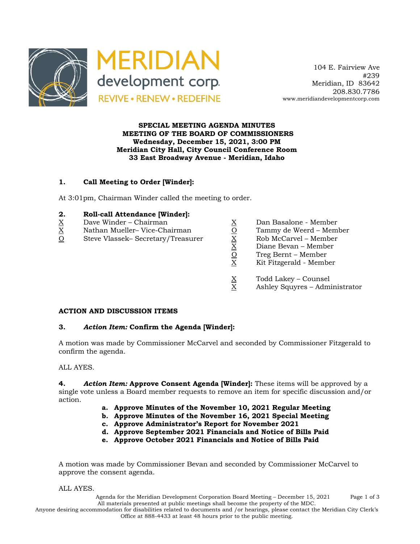

 104 E. Fairview Ave #239 Meridian, ID 83642 208.830.7786 www.meridiandevelopmentcorp.com

### **SPECIAL MEETING AGENDA MINUTES MEETING OF THE BOARD OF COMMISSIONERS Wednesday, December 15, 2021, 3:00 PM Meridian City Hall, City Council Conference Room 33 East Broadway Avenue - Meridian, Idaho**

## **1. Call Meeting to Order [Winder]:**

At 3:01pm, Chairman Winder called the meeting to order.

#### **2. Roll-call Attendance [Winder]:**

- 
- $X$  Nathan Mueller–Vice-Chairman  $0$  Tammy de Weerd Member
- $\begin{array}{llllll} \underline{X} &\text{Dave Winder} \text{Chairman} &\underline{X} &\text{Dan Basalone Member} \\ \underline{X} &\text{Nathan Mueller} \text{Vice-Chairman} &\underline{O} &\text{Tammy de Weerd Member} \\ \underline{O} &\text{Steve Vlassek} &\text{Secretary/Treasurer} &\underline{X} &\text{Rob McCarvel Member} \\ \underline{X} &\text{Diane Bevan Member} &\underline{O} &\text{Treg Bernt Member} \\ \underline{X} &\text{Kit Fitzgerald Member} &\underline{X} &\text{Kit Fitzgerald Member} \end{array}$ O Steve Vlassek– Secretary/Treasurer X Rob McCarvel – Member
	-
	-
	-
	- Diane Bevan Member
	- Treg Bernt Member
	- X Kit Fitzgerald Member
	- $X$  Todd Lakey Counsel<br>X Ashley Squyres Admi
	- Ashley Squyres Administrator

#### **ACTION AND DISCUSSION ITEMS**

#### **3.** *Action Item:* **Confirm the Agenda [Winder]:**

A motion was made by Commissioner McCarvel and seconded by Commissioner Fitzgerald to confirm the agenda.

#### ALL AYES.

**4.** *Action Item:* **Approve Consent Agenda [Winder]:** These items will be approved by a single vote unless a Board member requests to remove an item for specific discussion and/or action.

- **a. Approve Minutes of the November 10, 2021 Regular Meeting**
- **b. Approve Minutes of the November 16, 2021 Special Meeting**
- **c. Approve Administrator's Report for November 2021**
- **d. Approve September 2021 Financials and Notice of Bills Paid**
- **e. Approve October 2021 Financials and Notice of Bills Paid**

A motion was made by Commissioner Bevan and seconded by Commissioner McCarvel to approve the consent agenda.

ALL AYES.

Agenda for the Meridian Development Corporation Board Meeting – December 15, 2021 Page 1 of 3 All materials presented at public meetings shall become the property of the MDC.

Anyone desiring accommodation for disabilities related to documents and /or hearings, please contact the Meridian City Clerk's Office at 888-4433 at least 48 hours prior to the public meeting.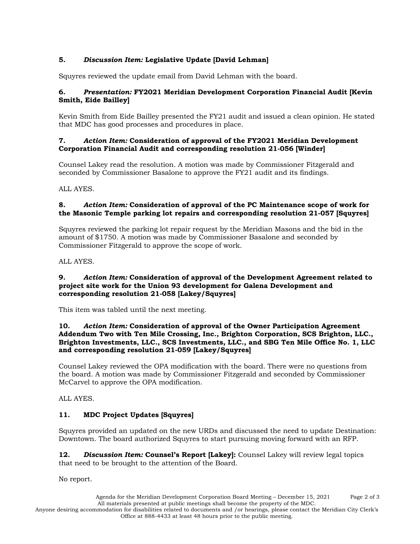# **5.** *Discussion Item:* **Legislative Update [David Lehman]**

Squyres reviewed the update email from David Lehman with the board.

# **6.** *Presentation:* **FY2021 Meridian Development Corporation Financial Audit [Kevin Smith, Eide Bailley]**

Kevin Smith from Eide Bailley presented the FY21 audit and issued a clean opinion. He stated that MDC has good processes and procedures in place.

## **7.** *Action Item:* **Consideration of approval of the FY2021 Meridian Development Corporation Financial Audit and corresponding resolution 21-056 [Winder]**

Counsel Lakey read the resolution. A motion was made by Commissioner Fitzgerald and seconded by Commissioner Basalone to approve the FY21 audit and its findings.

ALL AYES.

### **8.** *Action Item:* **Consideration of approval of the PC Maintenance scope of work for the Masonic Temple parking lot repairs and corresponding resolution 21-057 [Squyres]**

Squyres reviewed the parking lot repair request by the Meridian Masons and the bid in the amount of \$1750. A motion was made by Commissioner Basalone and seconded by Commissioner Fitzgerald to approve the scope of work.

ALL AYES.

### **9.** *Action Item:* **Consideration of approval of the Development Agreement related to project site work for the Union 93 development for Galena Development and corresponding resolution 21-058 [Lakey/Squyres]**

This item was tabled until the next meeting.

#### **10.** *Action Item:* **Consideration of approval of the Owner Participation Agreement Addendum Two with Ten Mile Crossing, Inc., Brighton Corporation, SCS Brighton, LLC., Brighton Investments, LLC., SCS Investments, LLC., and SBG Ten Mile Office No. 1, LLC and corresponding resolution 21-059 [Lakey/Squyres]**

Counsel Lakey reviewed the OPA modification with the board. There were no questions from the board. A motion was made by Commissioner Fitzgerald and seconded by Commissioner McCarvel to approve the OPA modification.

ALL AYES.

# **11. MDC Project Updates [Squyres]**

Squyres provided an updated on the new URDs and discussed the need to update Destination: Downtown. The board authorized Squyres to start pursuing moving forward with an RFP.

**12.** *Discussion Item:* **Counsel's Report [Lakey]:** Counsel Lakey will review legal topics that need to be brought to the attention of the Board.

No report.